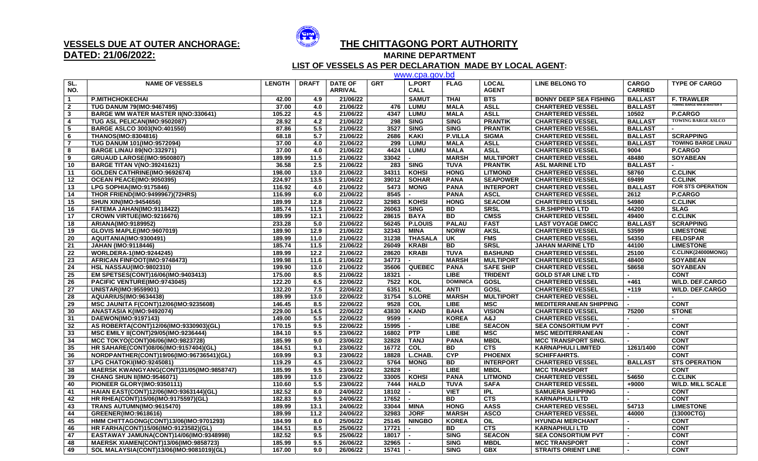

## **DATED: 21/06/2022:**

## **VESSELS DUE AT OUTER ANCHORAGE: THE CHITTAGONG PORT AUTHORITY**

**MARINE DEPARTMENT** 

 **LIST OF VESSELS AS PER DECLARATION MADE BY LOCAL AGENT:**

|                         |                                              |               |              |                |            | www.cpa.gov.bd |                 |                  |                               |                |                                    |
|-------------------------|----------------------------------------------|---------------|--------------|----------------|------------|----------------|-----------------|------------------|-------------------------------|----------------|------------------------------------|
| SL.                     | <b>NAME OF VESSELS</b>                       | <b>LENGTH</b> | <b>DRAFT</b> | <b>DATE OF</b> | <b>GRT</b> | <b>L.PORT</b>  | <b>FLAG</b>     | <b>LOCAL</b>     | <b>LINE BELONG TO</b>         | <b>CARGO</b>   | <b>TYPE OF CARGO</b>               |
| NO.                     |                                              |               |              | <b>ARRIVAL</b> |            | <b>CALL</b>    |                 | <b>AGENT</b>     |                               | <b>CARRIED</b> |                                    |
| $\overline{1}$          | <b>P.MITHCHOKECHAI</b>                       | 42.00         | 4.9          | 21/06/22       |            | <b>SAMUT</b>   | <b>THAI</b>     | <b>BTS</b>       | <b>BONNY DEEP SEA FISHING</b> | <b>BALLAST</b> | <b>F. TRAWLER</b>                  |
| $\overline{\mathbf{2}}$ | <b>TUG DANUM 79(IMO:9467495)</b>             | 37.00         | 4.0          | 21/06/22       | 476        | <b>LUMU</b>    | <b>MALA</b>     | <b>ASLL</b>      | <b>CHARTERED VESSEL</b>       | <b>BALLAST</b> | <b>TOWING BARGE WM.W.MASTER II</b> |
| $\mathbf{3}$            | <b>BARGE WM WATER MASTER II(NO:330641)</b>   | 105.22        | 4.5          | 21/06/22       | 4347       | <b>LUMU</b>    | <b>MALA</b>     | <b>ASLL</b>      | <b>CHARTERED VESSEL</b>       | 10502          | P.CARGO                            |
| 4                       | TUG ASL PELICAN(IMO:9502087)                 | 28.92         | 4.2          | 21/06/22       | 298        | <b>SING</b>    | <b>SING</b>     | <b>PRANTIK</b>   | <b>CHARTERED VESSEL</b>       | <b>BALLAST</b> | <b>TOWING BARGE ASLCO</b>          |
| 5                       | <b>BARGE ASLCO 3003(NO:401550)</b>           | 87.86         | 5.5          | 21/06/22       | 3527       | <b>SING</b>    | <b>SING</b>     | <b>PRANTIK</b>   | <b>CHARTERED VESSEL</b>       | <b>BALLAST</b> |                                    |
| 6                       | <b>THANOS(IMO:8304816)</b>                   | 68.18         | 5.7          | 21/06/22       | 2686       | KAKI           | <b>P.VILLA</b>  | <b>SIGMA</b>     | <b>CHARTERED VESSEL</b>       | <b>BALLAST</b> | <b>SCRAPPING</b>                   |
| $\overline{7}$          | <b>TUG DANUM 101(IMO:9572094)</b>            | 37.00         | 4.0          | 21/06/22       | 299        | <b>LUMU</b>    | <b>MALA</b>     | <b>ASLL</b>      | <b>CHARTERED VESSEL</b>       | <b>BALLAST</b> | <b>TOWING BARGE LINAU</b>          |
| 8                       | <b>BARGE LINAU 89(NO:332971)</b>             | 37.00         | 4.0          | 21/06/22       | 4424       | <b>LUMU</b>    | <b>MALA</b>     | <b>ASLL</b>      | <b>CHARTERED VESSEL</b>       | 9004           | <b>P.CARGO</b>                     |
| 9                       | GRUAUD LAROSE(IMO:9500807)                   | 189.99        | 11.5         | 21/06/22       | 33042      | $\sim$         | <b>MARSH</b>    | <b>MULTIPORT</b> | <b>CHARTERED VESSEL</b>       | 48480          | <b>SOYABEAN</b>                    |
| 10                      | <b>BARGE TITAN V(NO:39241621)</b>            | 36.58         | 2.5          | 21/06/22       |            | 283   SING     | <b>TUVA</b>     | <b>PRANTIK</b>   | <b>ASL MARINE LTD</b>         | <b>BALLAST</b> |                                    |
| 11                      | GOLDEN CATHRINE(IMO:9692674)                 | 198.00        | 13.0         | 21/06/22       | 34311      | <b>KOHSI</b>   | <b>HONG</b>     | <b>LITMOND</b>   | <b>CHARTERED VESSEL</b>       | 58760          | <b>C.CLINK</b>                     |
| 12                      | OCEAN PEACE(IMO:9050395)                     | 224.97        | 13.5         | 21/06/22       | 39012      | <b>SOHAR</b>   | <b>PANA</b>     | <b>SEAPOWER</b>  | <b>CHARTERED VESSEL</b>       | 69499          | <b>C.CLINK</b>                     |
| 13                      | LPG SOPHIA(IMO:9175846)                      | 116.92        | 4.0          | 21/06/22       | 5473       | <b>MONG</b>    | <b>PANA</b>     | <b>INTERPORT</b> | <b>CHARTERED VESSEL</b>       | <b>BALLAST</b> | <b>FOR STS OPERATION</b>           |
| 14                      | THOR FRIEND(IMO:9499967)(72HRS)              | 116.99        | 6.0          | 21/06/22       | 8545       | $\blacksquare$ | <b>PANA</b>     | <b>ASCL</b>      | <b>CHARTERED VESSEL</b>       | 2612           | <b>P.CARGO</b>                     |
| 15                      | <b>SHUN XIN(IMO:9454656)</b>                 | 189.99        | 12.8         | 21/06/22       | 32983      | KOHSI          | <b>HONG</b>     | <b>SEACOM</b>    | <b>CHARTERED VESSEL</b>       | 54980          | <b>C.CLINK</b>                     |
| 16                      | FATEMA JAHAN(IMO:9118422)                    | 185.74        | 11.5         | 21/06/22       | 26063      | <b>SING</b>    | <b>BD</b>       | <b>SRSL</b>      | <b>S.R.SHIPPING LTD</b>       | 44200          | <b>SLAG</b>                        |
| 17                      | CROWN VIRTUE(IMO:9216676)                    | 189.99        | 12.1         | 21/06/22       | 28615      | <b>BAYA</b>    | <b>BD</b>       | <b>CMSS</b>      | <b>CHARTERED VESSEL</b>       | 49400          | <b>C.CLINK</b>                     |
| 18                      | ARIANA(IMO:9189952)                          | 233.28        | 5.0          | 21/06/22       |            | 56245 P.LOUIS  | <b>PALAU</b>    | <b>FAST</b>      | <b>LAST VOYAGE DMCC</b>       | <b>BALLAST</b> | <b>SCRAPPING</b>                   |
| 19                      | GLOVIS MAPLE(IMO:9607019)                    | 189.90        | 12.9         | 21/06/22       | 32343      | <b>MINA</b>    | <b>NORW</b>     | <b>AKSL</b>      | <b>CHARTERED VESSEL</b>       | 53599          | <b>LIMESTONE</b>                   |
| 20                      | AQUITANIA(IMO:9300491)                       | 189.99        | 11.0         | 21/06/22       | 31238      | <b>THASALA</b> | UK              | <b>FMS</b>       | <b>CHARTERED VESSEL</b>       | 54350          | <b>FELDSPAR</b>                    |
| 21                      | <b>JAHAN (IMO:9118446)</b>                   | 185.74        | 11.5         | 21/06/22       | 26049      | <b>KRABI</b>   | <b>BD</b>       | <b>SRSL</b>      | <b>JAHAN MARINE LTD</b>       | 44100          | <b>LIMESTONE</b>                   |
| 22                      | <b>WORLDERA-1(IMO:9244245)</b>               | 189.99        | $12.2$       | 21/06/22       | 28620      | <b>KRABI</b>   | <b>TUVA</b>     | <b>BASHUND</b>   | <b>CHARTERED VESSEL</b>       | 25100          | C.CLINK(24000MONG)                 |
| 23                      | AFRICAN FINFOOT(IMO:9748473)                 | 199.98        | 11.6         | 21/06/22       | 34773      | $\sim$         | <b>MARSH</b>    | <b>MULTIPORT</b> | <b>CHARTERED VESSEL</b>       | 48400          | <b>SOYABEAN</b>                    |
| 24                      | <b>HSL NASSAU(IMO:9802310)</b>               | 199.90        | 13.0         | 21/06/22       |            | 35606 QUEBEC   | <b>PANA</b>     | <b>SAFE SHIP</b> | <b>CHARTERED VESSEL</b>       | 58658          | <b>SOYABEAN</b>                    |
| 25                      | EM SPETSES(CONT)16/06(IMO:9403413)           | 175.00        | 8.5          | 21/06/22       | 18321      | $\sim$         | LIBE            | <b>TRIDENT</b>   | <b>GOLD STAR LINE LTD</b>     | $\sim$         | <b>CONT</b>                        |
| 26                      | PACIFIC VENTURE(IMO:9743045)                 | 122.20        | 6.5          | 22/06/22       | 7522 KOL   |                | <b>DOMINICA</b> | <b>GOSL</b>      | <b>CHARTERED VESSEL</b>       | $+461$         | <b>W/LD. DEF.CARGO</b>             |
| 27                      | <b>UNISTAR(IMO:9559901)</b>                  | 132.20        | 7.5          | 22/06/22       | 6351       | KOL            | <b>ANTI</b>     | <b>GOSL</b>      | <b>CHARTERED VESSEL</b>       | $+119$         | <b>W/LD. DEF.CARGO</b>             |
| 28                      | <b>AQUARIUS(IMO:9634438)</b>                 | 189.99        | 13.0         | 22/06/22       |            | 31754 S.LORE   | <b>MARSH</b>    | <b>MULTIPORT</b> | <b>CHARTERED VESSEL</b>       | $\sim$         |                                    |
| 29                      | <b>MSC JAUNITA F(CONT)12/06(IMO:9235608)</b> | 146.45        | 8.5          | 22/06/22       | 9528       | <b>COL</b>     | <b>LIBE</b>     | <b>MSC</b>       | <b>MEDITERRANEAN SHIPPING</b> |                | <b>CONT</b>                        |
| 30                      | ANASTASIA K(IMO:9492074)                     | 229.00        | 14.5         | 22/06/22       |            | 43830 KAND     | <b>BAHA</b>     | <b>VISION</b>    | <b>CHARTERED VESSEL</b>       | 75200          | <b>STONE</b>                       |
| 31                      | DAEWON(IMO:9197143)                          | 149.00        | 5.5          | 22/06/22       | 9599       | $\sim$         | <b>KOREA</b>    | A&J              | <b>CHARTERED VESSEL</b>       |                |                                    |
| 32                      | AS ROBERTA(CONT)12/06(IMO:9330903)(GL)       | 170.15        | 9.5          | 22/06/22       | 15995      | $\sim$         | <b>LIBE</b>     | <b>SEACON</b>    | <b>SEA CONSORTIUM PVT</b>     |                | <b>CONT</b>                        |
| 33                      | MSC EMILY II(CONT)29/05(IMO:9236444)         | 184.10        | 9.5          | 23/06/22       | 16802      | <b>PTP</b>     | <b>LIBE</b>     | <b>MSC</b>       | <b>MSC MEDITERRANEAN</b>      |                | <b>CONT</b>                        |
| 34                      | MCC TOKYO(CONT)06/06(IMO:9823728)            | 185.99        | 9.0          | 23/06/22       | 32828      | <b>TANJ</b>    | <b>PANA</b>     | <b>MBDL</b>      | <b>MCC TRANSPORT SING.</b>    |                | <b>CONT</b>                        |
| 35                      | HR SAHARE(CONT)08/06(IMO:9157404)(GL)        | 184.51        | 9.1          | 23/06/22       | 16772      | COL            | <b>BD</b>       | <b>CTS</b>       | <b>KARNAPHULI LIMITED</b>     | 1261/1400      | <b>CONT</b>                        |
| 36                      | NORDPANTHER(CONT)19/06(IMO:96736541)(GL)     | 169.99        | 9.3          | 23/06/22       | 18828      | L.CHAB.        | <b>CYP</b>      | <b>PHOENIX</b>   | <b>SCHIFFAHRTS.</b>           |                | <b>CONT</b>                        |
| 37                      | LPG CHATOKI(IMO:9245081)                     | 119.29        | 4.5          | 23/06/22       | 5764       | <b>MONG</b>    | <b>BD</b>       | <b>INTERPORT</b> | <b>CHARTERED VESSEL</b>       | <b>BALLAST</b> | <b>STS OPERATION</b>               |
| 38                      | MAERSK KWANGYANG(CONT)31/05(IMO:9858747)     | 185.99        | 9.5          | 23/06/22       | 32828      | $\blacksquare$ | <b>LIBE</b>     | <b>MBDL</b>      | <b>MCC TRANSPORT</b>          |                | <b>CONT</b>                        |
| 39                      | <b>CHANG SHUN II(IMO:9546071)</b>            | 189.99        | 13.0         | 23/06/22       |            | 33005   KOHSI  | <b>PANA</b>     | <b>LITMOND</b>   | <b>CHARTERED VESSEL</b>       | 54650          | <b>C.CLINK</b>                     |
| 40                      | PIONEER GLORY(IMO:9350111)                   | 110.60        | 5.5          | 23/06/22       | 7444       | <b>HALD</b>    | <b>TUVA</b>     | <b>SAFA</b>      | <b>CHARTERED VESSEL</b>       | +9000          | <b>W/LD. MILL SCALE</b>            |
| 41                      | HAIAN EAST(CONT)12/06(IMO:9363144)(GL)       | 182.52        | 8.0          | 24/06/22       | 18102      | $\blacksquare$ | <b>VIET</b>     | <b>IPL</b>       | <b>SAMUERA SHIPPING</b>       |                | <b>CONT</b>                        |
| 42                      | HR RHEA(CONT)15/06(IMO:9175597)(GL)          | 182.83        | 9.5          | 24/06/22       | 17652      | $\blacksquare$ | <b>BD</b>       | <b>CTS</b>       | <b>KARNAPHULI LTD</b>         |                | <b>CONT</b>                        |
| 43                      | TRANS AUTUMN(IMO:9615470)                    | 189.99        | 13.1         | 24/06/22       | 33044 MINA |                | <b>HONG</b>     | <b>AASS</b>      | <b>CHARTERED VESSEL</b>       | 54713          | <b>LIMESTONE</b>                   |
| 44                      | GREENER(IMO:9618616)                         | 189.99        | 11.2         | 24/06/22       | 32983      | <b>JORF</b>    | <b>MARSH</b>    | <b>ASCO</b>      | <b>CHARTERED VESSEL</b>       | 44000          | (13000CTG)                         |
| 45                      | HMM CHITTAGONG(CONT)13/06(IMO:9701293)       | 184.99        | 8.0          | 25/06/22       |            | 25145   NINGBO | <b>KOREA</b>    | OIL              | <b>HYUNDAI MERCHANT</b>       |                | <b>CONT</b>                        |
| 46                      | HR FARHA(CONT)15/06(IMO:9123582)(GL)         | 184.51        | 8.5          | 25/06/22       | 17721      | $\blacksquare$ | <b>BD</b>       | <b>CTS</b>       | <b>KARNAPHULI LTD</b>         |                | <b>CONT</b>                        |
| 47                      | EASTAWAY JAMUNA(CONT)14/06(IMO:9348998)      | 182.52        | 9.5          | 25/06/22       | 18017      | $\blacksquare$ | <b>SING</b>     | <b>SEACON</b>    | <b>SEA CONSORTIUM PVT</b>     |                | <b>CONT</b>                        |
| 48                      | <b>MAERSK XIAMEN(CONT)13/06(IMO:9858723)</b> | 185.99        | 9.5          | 26/06/22       | 32965      | $\sim$         | <b>SING</b>     | <b>MBDL</b>      | <b>MCC TRANSPORT</b>          |                | <b>CONT</b>                        |
| 49                      | SOL MALAYSIA(CONT)13/06(IMO:9081019)(GL)     | 167.00        | 9.0          | 26/06/22       | 15741      | $\sim$         | <b>SING</b>     | <b>GBX</b>       | <b>STRAITS ORIENT LINE</b>    |                | <b>CONT</b>                        |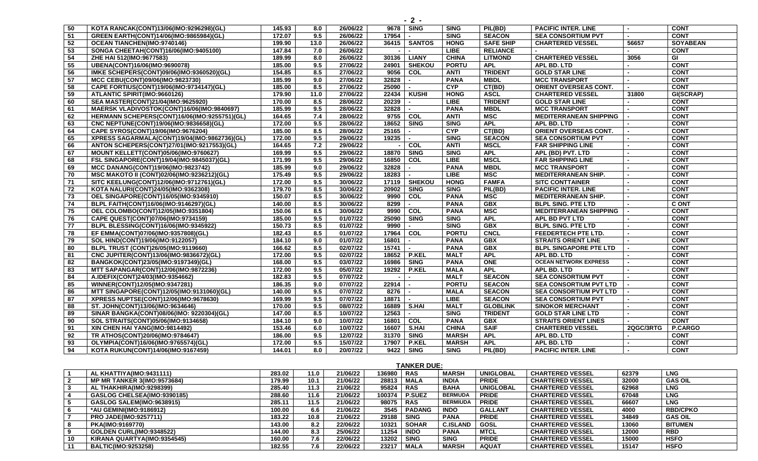| 50              | KOTA RANCAK(CONT)13/06(IMO:9296298)(GL)          | 145.93 | 8.0  | 26/06/22 |            | 9678 SING                | <b>SING</b>  | PIL(BD)          | <b>PACIFIC INTER. LINE</b>    |           | <b>CONT</b>     |
|-----------------|--------------------------------------------------|--------|------|----------|------------|--------------------------|--------------|------------------|-------------------------------|-----------|-----------------|
| $-51$           | GREEN EARTH(CONT)14/06(IMO:9865984)(GL)          | 172.07 | 9.5  | 26/06/22 | 17954      |                          | <b>SING</b>  | <b>SEACON</b>    | <b>SEA CONSORTIUM PVT</b>     |           | <b>CONT</b>     |
| 52              | OCEAN TIANCHEN(IMO:9740146)                      | 199.90 | 13.0 | 26/06/22 | 36415      | <b>SANTOS</b>            | <b>HONG</b>  | <b>SAFE SHIP</b> | <b>CHARTERED VESSEL</b>       | 56657     | <b>SOYABEAN</b> |
| 53              | SONGA CHEETAH(CONT)16/06(IMO:9405100)            | 147.84 | 7.0  | 26/06/22 | $\sim$     |                          | <b>LIBE</b>  | <b>RELIANCE</b>  |                               |           | <b>CONT</b>     |
| 54              | ZHE HAI 512(IMO:9677583)                         | 189.99 | 8.0  | 26/06/22 |            | 30136   LIANY            | <b>CHINA</b> | <b>LITMOND</b>   | <b>CHARTERED VESSEL</b>       | 3056      | GI              |
| 55              | UBENA(CONT)16/06(IMO:9690078)                    | 185.00 | 9.5  | 27/06/22 | 24901      | <b>SHEKOU</b>            | <b>PORTU</b> | <b>APL</b>       | APL BD. LTD                   |           | <b>CONT</b>     |
| 56              | IMKE SCHEPERS(CONT)09/06(IMO:9360520)(GL)        | 154.85 | 8.5  | 27/06/22 | 9056       | $\overline{c}$           | <b>ANTI</b>  | <b>TRIDENT</b>   | <b>GOLD STAR LINE</b>         |           | <b>CONT</b>     |
| $\overline{57}$ | MCC CEBU(CONT)09/06(IMO:9823730)                 | 185.99 | 9.0  | 27/06/22 | 32828      |                          | <b>PANA</b>  | <b>MBDL</b>      | <b>MCC TRANSPORT</b>          |           | <b>CONT</b>     |
| 58              | CAPE FORTIUS(CONT)19/06(IMO:9734147)(GL)         | 185.00 | 8.5  | 27/06/22 | 25090      |                          | <b>CYP</b>   | CT(BD)           | <b>ORIENT OVERSEAS CONT.</b>  |           | <b>CONT</b>     |
| 59              | ATLANTIC SPIRIT(IMO:9660126)                     | 179.90 | 11.0 | 27/06/22 |            | 22434 KUSHI              | <b>HONG</b>  | <b>ASCL</b>      | <b>CHARTERED VESSEL</b>       | 31800     | GI(SCRAP)       |
| 60              | SEA MASTER(CONT)21/04(IMO:9625920)               | 170.00 | 8.5  | 28/06/22 | 20239      |                          | <b>LIBE</b>  | <b>TRIDENT</b>   | <b>GOLD STAR LINE</b>         |           | <b>CONT</b>     |
| 61              | MAERSK VLADIVOSTOK(CONT)16/06(IMO:9840697)       | 185.99 | 9.5  | 28/06/22 | 32828      |                          | <b>PANA</b>  | <b>MBDL</b>      | <b>MCC TRANSPORT</b>          |           | <b>CONT</b>     |
| 62              | HERMANN SCHEPERS(CONT)16/06(IMO:9255751)(GL)     | 164.65 | 7.4  | 28/06/22 | 9755 COL   |                          | <b>ANTI</b>  | <b>MSC</b>       | <b>MEDITERRANEAN SHIPPING</b> |           | <b>CONT</b>     |
| 63              | CNC NEPTUNE(CONT)19/06(IMO:9836658)(GL)          | 172.00 | 9.5  | 28/06/22 | 18652      | <b>SING</b>              | <b>SING</b>  | <b>APL</b>       | APL BD. LTD                   |           | <b>CONT</b>     |
| 64              | CAPE SYROS(CONT)19/06(IMO:9676204)               | 185.00 | 8.5  | 28/06/22 | 25165      |                          | <b>CYP</b>   | CT(BD)           | <b>ORIENT OVERSEAS CONT.</b>  |           | <b>CONT</b>     |
| 65              | XPRESS SAGARMALA(CONT)19/04(IMO:9862736)(GL)     | 172.00 | 9.5  | 29/06/22 | 19235      |                          | <b>SING</b>  | <b>SEACON</b>    | <b>SEA CONSORTIUM PVT</b>     |           | <b>CONT</b>     |
| 66              | ANTON SCHEPERS(CONT)27/01(IMO:9217553)(GL)       | 164.65 | 7.2  | 29/06/22 |            | COL                      | <b>ANTI</b>  | <b>MSCL</b>      | <b>FAR SHIPPING LINE</b>      |           | <b>CONT</b>     |
| 67              | <b>MOUNT KELLETT(CONT)05/06(IMO:9760627)</b>     | 169.99 | 9.5  | 29/06/22 | 18870      | <b>SING</b>              | <b>SING</b>  | <b>APL</b>       | APL (BD) PVT. LTD             |           | <b>CONT</b>     |
| 68              | FSL SINGAPORE(CONT)19/04(IMO:9845037)(GL)        | 171.99 | 9.5  | 29/06/22 | 16850      | COL                      | <b>LIBE</b>  | <b>MSCL</b>      | <b>FAR SHIPPING LINE</b>      |           | <b>CONT</b>     |
| 69              | MCC DANANG(CONT)19/06(IMO:9823742)               | 185.99 | 9.0  | 29/06/22 | 32828      | $\blacksquare$           | <b>PANA</b>  | <b>MBDL</b>      | <b>MCC TRANSPORT</b>          |           | <b>CONT</b>     |
| $\overline{70}$ | MSC MAKOTO II (CONT)02/06(IMO:9236212)(GL)       | 175.49 | 9.5  | 29/06/22 | 18283      |                          | <b>LIBE</b>  | <b>MSC</b>       | <b>MEDITERRANEAN SHIP.</b>    |           | <b>CONT</b>     |
| 71              | SITC KEELUNG(CONT)12/06(IMO:9712761)(GL)         | 172.00 | 9.5  | 30/06/22 |            | 17119   SHEKOU           | <b>HONG</b>  | <b>FAMFA</b>     | <b>SITC CONTTAINER</b>        |           | <b>CONT</b>     |
| 72              | KOTA NALURI(CONT)24/05(IMO:9362308)              | 179.70 | 8.5  | 30/06/22 | 20902      | <b>SING</b>              | <b>SING</b>  | PIL(BD)          | <b>PACIFIC INTER. LINE</b>    |           | <b>CONT</b>     |
| $\overline{73}$ | OEL SINGAPORE(CONT)16/05(IMO:9345910)            | 150.07 | 8.5  | 30/06/22 | 9990       | COL                      | <b>PANA</b>  | <b>MSC</b>       | <b>MEDITERRANEAN SHIP.</b>    |           | <b>CONT</b>     |
| 74              | BLPL FAITH(CONT)16/06(IMO:9146297)(GL)           | 140.00 | 8.5  | 30/06/22 | 8299       |                          | <b>PANA</b>  | GBX              | <b>BLPL SING, PTE LTD</b>     |           | <b>CONT</b>     |
| 75              | OEL COLOMBO(CONT)12/05(IMO:9351804)              | 150.06 | 8.5  | 30/06/22 | 9990       | COL                      | <b>PANA</b>  | <b>MSC</b>       | <b>MEDITERRANEAN SHIPPING</b> |           | <b>CONT</b>     |
| 76              | CAPE QUEST(CONT)07/06(IMO:9734159)               | 185.00 | 9.5  | 01/07/22 | 25090      | <b>SING</b>              | <b>SING</b>  | <b>APL</b>       | APL BD PVT LTD                |           | <b>CONT</b>     |
| 77              | BLPL BLESSING(CONT)16/06(IMO:9345922)            | 150.73 | 8.5  | 01/07/22 | 9990       |                          | <b>SING</b>  | <b>GBX</b>       | <b>BLPL SING. PTE LTD</b>     |           | <b>CONT</b>     |
| 78              | EF EMMA(CONT)07/06(IMO:9357808)(GL)              | 182.43 | 8.5  | 01/07/22 | 17964      | $\overline{c}$           | <b>PORTU</b> | <b>CNCL</b>      | FEEDERTECH PTE LTD.           |           | <b>CONT</b>     |
| 79              | SOL HIND(CONT)19/06(IMO:9122057)                 | 184.10 | 9.0  | 01/07/22 | 16801      | $\overline{\phantom{0}}$ | <b>PANA</b>  | <b>GBX</b>       | <b>STRAITS ORIENT LINE</b>    |           | <b>CONT</b>     |
| 80              | BLPL TRUST (CONT)26/05(IMO:9119660)              | 166.62 | 8.5  | 02/07/22 | 15741      |                          | <b>PANA</b>  | GBX              | <b>BLPL SINGAPORE PTE LTD</b> |           | <b>CONT</b>     |
| 81              | CNC JUPITER(CONT)13/06(IMO:9836672)(GL)          | 172.00 | 9.5  | 02/07/22 |            | 18652 P.KEL              | <b>MALT</b>  | <b>APL</b>       | APL BD. LTD                   |           | <b>CONT</b>     |
| 82              | BANGKOK(CONT)23/05(IMO:9197349)(GL)              | 168.00 | 9.5  | 03/07/22 | 16986 SING |                          | <b>PANA</b>  | <b>ONE</b>       | <b>OCEAN NETWORK EXPRESS</b>  |           | <b>CONT</b>     |
| 83              | <b>MTT SAPANGAR(CONT)12/06(IMO:9872236)</b>      | 172.00 | 9.5  | 05/07/22 | 19292      | <b>P.KEL</b>             | <b>MALA</b>  | <b>APL</b>       | APL BD. LTD                   |           | <b>CONT</b>     |
| 84              | A.IDEFIX(CONT)24/03(IMO:9354662)                 | 182.83 | 9.5  | 07/07/22 |            |                          | <b>MALT</b>  | <b>SEACON</b>    | <b>SEA CONSORTIUM PVT</b>     |           | <b>CONT</b>     |
| 85              | WINNER(CONT)12/05(IMO:9347281)                   | 186.35 | 9.0  | 07/07/22 | 22914      |                          | <b>PORTU</b> | <b>SEACON</b>    | <b>SEA CONSORTIUM PVT LTD</b> |           | <b>CONT</b>     |
| 86              | <b>MTT SINGAPORE(CONT)12/05(IMO:9131060)(GL)</b> | 140.00 | 9.5  | 07/07/22 | 8276       |                          | <b>MALA</b>  | <b>SEACON</b>    | <b>SEA CONSORTIUM PVT LTD</b> |           | <b>CONT</b>     |
| 87              | XPRESS NUPTSE(CONT)12/06(IMO:9678630)            | 169.99 | 9.5  | 07/07/22 | 18871      |                          | <b>LIBE</b>  | <b>SEACON</b>    | <b>SEA CONSORTIUM PVT</b>     |           | <b>CONT</b>     |
| 88              | ST. JOHN(CONT)13/06(IMO:9634646)                 | 170.00 | 9.5  | 08/07/22 |            | 16889 S.HAI              | <b>MALT</b>  | <b>GLOBLINK</b>  | <b>SINOKOR MERCHANT</b>       |           | <b>CONT</b>     |
| 89              | SINAR BANGKA(CONT)08/06(IMO: 9220304)(GL)        | 147.00 | 8.5  | 10/07/22 | 12563      | $\blacksquare$           | <b>SING</b>  | <b>TRIDENT</b>   | <b>GOLD STAR LINE LTD</b>     |           | <b>CONT</b>     |
| 90              | SOL STRAITS(CONT)05/06(IMO:9134658)              | 184.10 | 9.0  | 10/07/22 | 16801      | COL                      | <b>PANA</b>  | <b>GBX</b>       | <b>STRAITS ORIENT LINES</b>   |           | <b>CONT</b>     |
| 91              | XIN CHEN HAI YANG(IMO:9814492)                   | 153.46 | 6.0  | 10/07/22 | 16607      | S.HAI                    | <b>CHINA</b> | <b>SAIF</b>      | <b>CHARTERED VESSEL</b>       | 2QGC/3RTG | <b>P.CARGO</b>  |
| 92              | TR ATHOS(CONT)20/06(IMO:9784647)                 | 186.00 | 9.5  | 12/07/22 | 31370      | <b>SING</b>              | <b>MARSH</b> | <b>APL</b>       | APL BD. LTD                   |           | <b>CONT</b>     |
| 93              | OLYMPIA(CONT)16/06(IMO:9765574)(GL)              | 172.00 | 9.5  | 15/07/22 | 17907      | <b>P.KEL</b>             | <b>MARSH</b> | <b>APL</b>       | APL BD. LTD                   |           | <b>CONT</b>     |
| 94              | KOTA RUKUN(CONT)14/06(IMO:9167459)               | 144.01 | 8.0  | 20/07/22 | 9422       | <b>SING</b>              | <b>SING</b>  | PIL(BD)          | <b>PACIFIC INTER. LINE</b>    |           | <b>CONT</b>     |

|    | . <i>.</i>                         |        |      |          |        |               |                 |                  |                         |       |                 |  |  |  |
|----|------------------------------------|--------|------|----------|--------|---------------|-----------------|------------------|-------------------------|-------|-----------------|--|--|--|
|    | AL KHATTIYA(IMO:9431111)           | 283.02 | 11.0 | 21/06/22 | 136980 | <b>RAS</b>    | <b>MARSH</b>    | <b>UNIGLOBAL</b> | <b>CHARTERED VESSEL</b> | 62379 | <b>LNG</b>      |  |  |  |
|    | <b>MP MR TANKER 3(IMO:9573684)</b> | 179.99 | 10.1 | 21/06/22 | 28813  | <b>MALA</b>   | <b>INDIA</b>    | <b>PRIDE</b>     | <b>CHARTERED VESSEL</b> | 32000 | <b>GAS OIL</b>  |  |  |  |
|    | AL THAKHIRA(IMO:9298399)           | 285.40 | 11.3 | 21/06/22 | 95824  | <b>RAS</b>    | <b>BAHA</b>     | <b>UNIGLOBAL</b> | <b>CHARTERED VESSEL</b> | 62968 | <b>LNG</b>      |  |  |  |
|    | GASLOG CHELSEA(IMO:9390185)        | 288.60 | 11.6 | 21/06/22 | 100374 | <b>P.SUEZ</b> | <b>BERMUDA</b>  | <b>PRIDE</b>     | <b>CHARTERED VESSEL</b> | 67048 | <b>LNG</b>      |  |  |  |
|    | <b>GASLOG SALEM(IMO:9638915)</b>   | 285.11 | 11.5 | 21/06/22 | 98075  | <b>RAS</b>    | <b>BERMIUDA</b> | <b>PRIDE</b>     | <b>CHARTERED VESSEL</b> | 66607 | <b>LNG</b>      |  |  |  |
|    | *AU GEMINI(IMO:9186912)            | 100.00 | 6.6  | 21/06/22 | 3545   | <b>PADANG</b> | <b>INDO</b>     | <b>GALLANT</b>   | <b>CHARTERED VESSEL</b> | 4000  | <b>RBD/CPKO</b> |  |  |  |
|    | <b>PRO JADE(IMO:9257711)</b>       | 183.22 | 10.8 | 21/06/22 | 29188  | <b>SING</b>   | <b>PANA</b>     | <b>PRIDE</b>     | <b>CHARTERED VESSEL</b> | 34849 | <b>GAS OIL</b>  |  |  |  |
|    | <b>PKA(IMO:9169770)</b>            | 143.00 | 8.2  | 22/06/22 | 10321  | <b>SOHAR</b>  | <b>C.ISLAND</b> | GOSL             | <b>CHARTERED VESSEL</b> | 13060 | <b>BITUMEN</b>  |  |  |  |
|    | <b>GOLDEN CURL(IMO:9348522)</b>    | 144.00 | 8.3  | 25/06/22 | 11254  | <b>INDO</b>   | <b>PANA</b>     | <b>MTCL</b>      | <b>CHARTERED VESSEL</b> | 12000 | <b>RBD</b>      |  |  |  |
| 10 | KIRANA QUARTYA(IMO:9354545)        | 160.00 | 7.6  | 22/06/22 | 13202  | <b>SING</b>   | <b>SING</b>     | <b>PRIDE</b>     | <b>CHARTERED VESSEL</b> | 15000 | <b>HSFO</b>     |  |  |  |
|    | <b>BALTIC(IMO:9253258)</b>         | 182.55 | 7.6  | 22/06/22 | 23217  | MALA          | <b>MARSH</b>    | <b>AQUAT</b>     | <b>CHARTERED VESSEL</b> | 15147 | <b>HSFO</b>     |  |  |  |

**TANKER DUE:**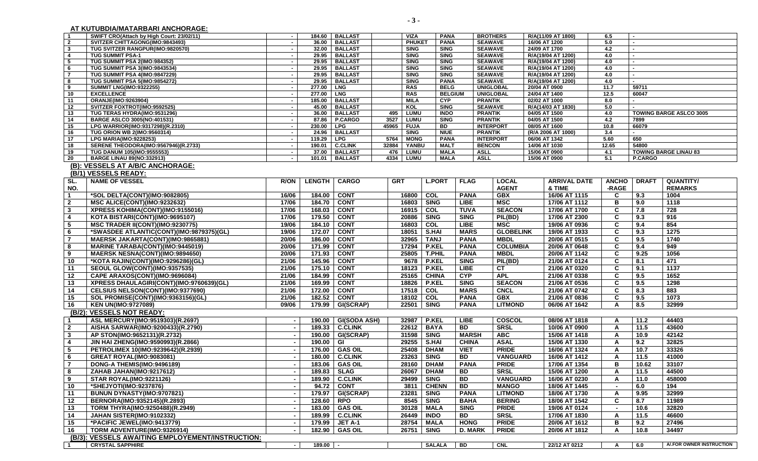**AT KUTUBDIA/MATARBARI ANCHORAGE:**

| $\overline{1}$          | SWIFT CRO(Attach by High Court: 23/02/11)               | $\sim$                             | 184.60        | <b>BALLAST</b>                  |            | <b>VIZA</b>                | <b>PANA</b>                |                | <b>BROTHERS</b>                  | R/A(11/09 AT 1800)                       | 6.5                      |               |                                |
|-------------------------|---------------------------------------------------------|------------------------------------|---------------|---------------------------------|------------|----------------------------|----------------------------|----------------|----------------------------------|------------------------------------------|--------------------------|---------------|--------------------------------|
| $\overline{2}$          | SVITZER CHITTAGONG(IMO:9843493)                         | $\overline{\phantom{a}}$           | 36.00         | <b>BALLAST</b>                  |            | <b>PHUKET</b>              | <b>PANA</b>                |                | <b>SEAWAVE</b>                   | 16/06 AT 1200                            | 5.0                      |               |                                |
| $\mathbf{3}$            | TUG SVITZER RANGPUR(IMO:9820570)                        | $\sim$                             |               | 32.00   BALLAST                 |            | <b>SING</b>                | <b>SING</b>                |                | <b>SEAWAVE</b>                   | 24/09 AT 1700                            | 4.2                      |               |                                |
| -4                      | <b>TUG SUMMIT PSA-1</b><br>TUG SUMMIT PSA 2(IMO:984352) | $\blacksquare$                     | 29.95         | <b>BALLAST</b><br>29.95 BALLAST |            | <b>SING</b>                | <b>SING</b>                |                | <b>SEAWAVE</b>                   | R/A(19/04 AT 1200)<br>R/A(19/04 AT 1200) | 4.0                      |               |                                |
| - 5<br>- 6              | <b>TUG SUMMIT PSA 3(IMO:9843534)</b>                    | $\sim$<br>$\overline{\phantom{a}}$ |               | 29.95 BALLAST                   |            | <b>SING</b><br><b>SING</b> | <b>SING</b><br><b>SING</b> |                | <b>SEAWAVE</b><br><b>SEAWAVE</b> | R/A(19/04 AT 1200)                       | 4.0<br>4.0               |               |                                |
| $\overline{7}$          | TUG SUMMIT PSA 4(IMO:9847229)                           |                                    | 29.95         | <b>BALLAST</b>                  |            | <b>SING</b>                | <b>SING</b>                |                | <b>SEAWAVE</b>                   | R/A(19/04 AT 1200)                       | 4.0                      |               |                                |
| - 8                     | <b>TUG SUMMIT PSA 5(IMO:9854272)</b>                    | $\blacksquare$                     |               | 29.95   BALLAST                 |            | <b>SING</b>                | <b>PANA</b>                |                | <b>SEAWAVE</b>                   | R/A(19/04 AT 1200)                       | 4.0                      |               |                                |
| 9                       | <b>SUMMIT LNG(IMO:9322255)</b>                          | $\overline{\phantom{a}}$           | 277.00        | <b>LNG</b>                      |            | <b>RAS</b>                 | <b>BELG</b>                |                | <b>UNIGLOBAL</b>                 | 20/04 AT 0900                            | 11.7                     | 59711         |                                |
| 10                      | <b>EXCELLENCE</b>                                       | $\sim$                             | 277.00   LNG  |                                 |            | <b>RAS</b>                 | <b>BELGIUM</b>             |                | <b>UNIGLOBAL</b>                 | 24/04 AT 1400                            | 12.5                     | 60047         |                                |
| 11                      | ORANJE(IMO:9263904)                                     | $\overline{\phantom{a}}$           |               | 185.00 BALLAST                  |            | <b>MILA</b>                | <b>CYP</b>                 |                | <b>PRANTIK</b>                   | 02/02 AT 1000                            | 8.0                      |               |                                |
| 12                      | SVITZER FOXTROT(IMO:9592525)                            | $\overline{\phantom{a}}$           | 45.00         | <b>BALLAST</b>                  |            | KOL                        | <b>SING</b>                |                | <b>SEAWAVE</b>                   | R/A(14/03 AT 1830)                       | 5.0                      |               |                                |
| 13                      | TUG TERAS HYDRA(IMO:9531296)                            | $\blacksquare$                     | 36.00         | <b>BALLAST</b>                  | 495        | LUMU                       | <b>INDO</b>                |                | <b>PRANTIK</b>                   | 04/05 AT 1500                            | 4.0                      |               | <b>TOWING BARGE ASLCO 3005</b> |
| 14                      | <b>BARGE ASLCO 3005(NO:401531)</b>                      | $\overline{\phantom{a}}$           | 87.86         | <b>P.CARGO</b>                  | 3527       | <b>LUMU</b>                | <b>SING</b>                |                | <b>PRANTIK</b>                   | 04/05 AT 1500                            | 4.2                      | 7899          |                                |
| 15                      | LPG WARRIOR(IMO:9317298)(R.2310)                        | $\sim$                             | 230.00 LPG    |                                 | 45965      | <b>FUJA</b>                | BD                         |                | <b>INTERPORT</b>                 | 08/05 AT 1600                            | 10.8                     | 66079         |                                |
| 16                      | TUG ORION WB 2(IMO:9560314)                             | $\overline{\phantom{a}}$           |               | 24.96   BALLAST                 |            | <b>SING</b>                | <b>NIUE</b>                |                | <b>PRANTIK</b>                   | (R/A 2006 AT 1000)                       | 3.4                      | $\sim$        |                                |
| 17                      | <b>LPG MARIA(IMO:9228253)</b>                           | $\sim$                             | 119.29 LPG    |                                 | 5764       | <b>MONG</b>                | <b>PANA</b>                |                | <b>INTERPORT</b>                 | 06/06 AT 1342                            | 5.60                     | 650           |                                |
| 18                      | SERENE THEODORA(IMO:9567946)(R.2733)                    | $\blacksquare$                     |               | 190.01 C.CLINK                  | 32884      | YANBU                      | <b>MALT</b>                |                | <b>BENCON</b>                    | 14/06 AT 1030                            | 12.65                    | 54800         |                                |
| 19                      | TUG DANUM 105(IMO:9555553)                              | $\overline{\phantom{a}}$           |               | 37.00   BALLAST                 |            | 476   LUMU                 | <b>MALA</b>                | <b>ASLL</b>    |                                  | 15/06 AT 0900                            | 4.1                      |               | <b>TOWING BARGE LINAU 83</b>   |
| 20                      | <b>BARGE LINAU 89(NO:332913)</b>                        |                                    | 101.01        | <b>BALLAST</b>                  | 4334       | <b>LUMU</b>                | <b>MALA</b>                | <b>ASLL</b>    |                                  | 15/06 AT 0900                            | 5.1                      | P.CARGO       |                                |
|                         | (B): VESSELS AT A/B/C ANCHORAGE:                        |                                    |               |                                 |            |                            |                            |                |                                  |                                          |                          |               |                                |
|                         | (B/1) VESSELS READY:                                    |                                    |               |                                 |            |                            |                            |                |                                  |                                          |                          |               |                                |
| SL.                     | <b>NAME OF VESSEL</b>                                   | <b>R/ON</b>                        | <b>LENGTH</b> | <b>CARGO</b>                    | <b>GRT</b> |                            | <b>L.PORT</b>              | <b>FLAG</b>    | <b>LOCAL</b>                     | <b>ARRIVAL DATE</b>                      | <b>ANCHO</b>             | <b>DRAFT</b>  | <b>QUANTITY/</b>               |
| NO.                     |                                                         |                                    |               |                                 |            |                            |                            |                | <b>AGENT</b>                     | & TIME                                   | -RAGE                    |               | <b>REMARKS</b>                 |
| $\overline{1}$          | *SOL DELTA(CONT)(IMO:9082805)                           | 16/06                              | 184.00        | <b>CONT</b>                     |            | 16800                      | COL                        | <b>PANA</b>    | <b>GBX</b>                       | 16/06 AT 1115                            | C                        | 9.3           | 1004                           |
|                         | MSC ALICE(CONT)(IMO:9232632)                            | 17/06                              | 184.70        | <b>CONT</b>                     |            | 16803                      | <b>SING</b>                | <b>LIBE</b>    | <b>MSC</b>                       | 17/06 AT 1112                            | в                        | 9.0           | 1118                           |
| $\overline{\mathbf{2}}$ |                                                         |                                    |               |                                 |            |                            |                            |                |                                  |                                          |                          |               |                                |
| $\mathbf{3}$            | XPRESS KOHIMA(CONT)(IMO:9155016)                        | 17/06                              | 168.03        | <b>CONT</b>                     |            | 16915                      | COL                        | <b>TUVA</b>    | <b>SEACON</b>                    | 17/06 AT 1700                            | C                        | 7.8           | 728                            |
| 4                       | KOTA BISTARI(CONT)(IMO:9695107)                         | 17/06                              | 179.50        | <b>CONT</b>                     |            | 20886                      | <b>SING</b>                | <b>SING</b>    | PIL(BD)                          | 17/06 AT 2300                            | C                        | 9.3           | 916                            |
| - 5                     | MSC TRADER II(CONT)(IMO:9230775)                        | 19/06                              | 184.10        | <b>CONT</b>                     |            | 16803                      | COL                        | <b>LIBE</b>    | MSC                              | 19/06 AT 0936                            | C                        | 9.4           | 854                            |
| 6                       | *SWASDEE ATLANTIC(CONT)(IMO:9879375)(GL)                | 19/06                              | 172.07        | <b>CONT</b>                     |            | 18051                      | <b>S.HAI</b>               | <b>MARS</b>    | <b>GLOBELINK</b>                 | 19/06 AT 1933                            | C                        | 9.3           | 1275                           |
| $\overline{7}$          | <b>MAERSK JAKARTA(CONT)(IMO:9865881)</b>                | 20/06                              | 186.00        | <b>CONT</b>                     |            | 32965                      | <b>TANJ</b>                | <b>PANA</b>    | <b>MBDL</b>                      | 20/06 AT 0515                            | C                        | 9.5           | 1740                           |
| 8                       | MARINE TARABA(CONT)(IMO:9445019)                        | 20/06                              | 171.99        | <b>CONT</b>                     |            | 17294                      | <b>P.KEL</b>               | <b>PANA</b>    | <b>COLUMBIA</b>                  | 20/06 AT 0648                            | C                        | 9.4           | 949                            |
| 9                       | MAERSK NESNA(CONT)(IMO:9894650)                         | 20/06                              | 171.93        | <b>CONT</b>                     |            | 25805                      | <b>T.PHIL</b>              | <b>PANA</b>    | <b>MBDL</b>                      | 20/06 AT 1142                            | C                        | 9.25          | 1056                           |
| -10                     | *KOTA RAJIN(CONT)(IMO:9296286)(GL)                      | 21/06                              | 145.96        | <b>CONT</b>                     |            | 9678                       | <b>P.KEL</b>               | <b>SING</b>    | PIL(BD)                          | 21/06 AT 0124                            | C                        | 8.1           | 471                            |
| 11                      | SEOUL GLOW(CONT)(IMO:9357535)                           | 21/06                              | 175.10        | <b>CONT</b>                     |            | 18123                      | <b>P.KEL</b>               | <b>LIBE</b>    | <b>CT</b>                        | 21/06 AT 0320                            | C                        | 9.1           | 1137                           |
| 12                      | CAPE ARAXOS(CONT)(IMO:9696084)                          | 21/06                              | 184.99        | <b>CONT</b>                     |            | 25165                      | <b>CHINA</b>               | CYP            | <b>APL</b>                       | 21/06 AT 0338                            | C                        | 9.5           | 1652                           |
| 13                      | XPRESS DHAULAGIRI(CONT)(IMO:9760639)(GL)                | 21/06                              | 169.99        | <b>CONT</b>                     |            | 18826 P.KEL                |                            | <b>SING</b>    | <b>SEACON</b>                    | 21/06 AT 0536                            | C                        | 9.5           | 1298                           |
| -14                     |                                                         | 21/06                              | 172.00        | <b>CONT</b>                     |            | 17518                      | COL                        | <b>MARS</b>    | <b>CNCL</b>                      | 21/06 AT 0742                            | C                        | 8.3           | 883                            |
|                         | CELSIUS NELSON(CONT)(IMO:9377690)                       | 21/06                              | 182.52        | <b>CONT</b>                     |            | 18102                      | COL                        | <b>PANA</b>    | <b>GBX</b>                       | 21/06 AT 0836                            | C                        | 9.5           | 1073                           |
| 15                      | SOL PROMISE(CONT)(IMO:9363156)(GL)                      |                                    |               |                                 |            |                            |                            |                |                                  |                                          |                          |               |                                |
| 16                      | <b>KEN UN(IMO:9727089)</b>                              | 09/06                              | 179.99        | GI(SCRAP)                       |            | 22501                      | <b>SING</b>                | <b>PANA</b>    | <b>LITMOND</b>                   | 06/06 AT 1642                            | Α                        | 8.5           | 32999                          |
|                         | (B/2): VESSELS NOT READY:                               |                                    |               |                                 |            |                            |                            |                |                                  |                                          |                          |               |                                |
| $\overline{1}$          | ASL MERCURY(IMO:9519303)(R.2697)                        |                                    | 190.00        | <b>GI(SODA ASH)</b>             |            | 32987                      | <b>P.KEL</b>               | <b>LIBE</b>    | <b>COSCOL</b>                    | 08/06 AT 1818                            | A                        | 11.2          | 44403                          |
| $\mathbf{2}$            | AISHA SARWAR(IMO:9200433)(R.2790)                       |                                    | 189.33        | <b>C.CLINK</b>                  |            | 22612                      | <b>BAYA</b>                | <b>BD</b>      | <b>SRSL</b>                      | 10/06 AT 0900                            | A                        | 11.5          | 43600                          |
| -3                      | AP STON(IMO:9652131)(R.2732)                            |                                    | 190.00        | GI(SCRAP)                       |            | 31598                      | <b>SING</b>                | <b>MARSH</b>   | <b>ABC</b>                       | 15/06 AT 1418                            | A                        | 10.9          | 42142                          |
| -4                      | JIN HAI ZHENG(IMO:9590993)(R.2866)                      |                                    | 190.00        | GI                              |            | 29255                      | <b>S.HAI</b>               | <b>CHINA</b>   | <b>ASAL</b>                      | 15/06 AT 1330                            | A                        | 9.2           | 32825                          |
| - 5                     | PETROLIMEX 10(IMO:9239642)(R.2939)                      |                                    | 176.00        | <b>GAS OIL</b>                  |            | 25408                      | <b>DHAM</b>                | <b>VIET</b>    | <b>PRIDE</b>                     | 16/06 AT 1324                            | A                        | 10.7          | 33326                          |
| - 6                     | <b>GREAT ROYAL(IMO:9083081)</b>                         |                                    | 180.00        | <b>C.CLINK</b>                  |            | 23263                      | <b>SING</b>                | <b>BD</b>      | <b>VANGUARD</b>                  | 16/06 AT 1412                            | A                        | 11.5          | 41000                          |
| $\overline{7}$          | DONG-A THEMIS(IMO:9496189)                              |                                    | 183.06        | <b>GAS OIL</b>                  |            | 28160                      | <b>DHAM</b>                | <b>PANA</b>    | <b>PRIDE</b>                     | 17/06 AT 1354                            | в                        | 10.62         | 33107                          |
| 8                       | ZAHAB JAHAN(IMO:9217612)                                |                                    | 189.83 SLAG   |                                 |            | 26067 DHAM                 |                            | BD             | <b>SRSL</b>                      | 15/06 AT 1200                            |                          |               | 44500                          |
| 9                       | <b>STAR ROYAL(IMO:9221126)</b>                          |                                    | 189.90        | <b>C.CLINK</b>                  |            | 29499 SING                 |                            | <b>BD</b>      | <b>VANGUARD</b>                  | 16/06 AT 0230                            | A<br>A                   | -11.5<br>11.0 | 458000                         |
|                         |                                                         |                                    |               |                                 |            |                            |                            |                |                                  |                                          |                          |               |                                |
| 10                      | *SHEJYOTI(IMO:9237876)                                  |                                    | 94.72         | <b>CONT</b>                     |            | 3811                       | <b>CHENN</b>               | BD             | <b>MANGO</b>                     | 18/06 AT 1445                            | $\overline{\phantom{0}}$ | 6.0           | 194                            |
| 11                      | BUNUN DYNASTY(IMO:9707821)                              |                                    | 179.97        | GI(SCRAP)                       |            | 23281                      | <b>SING</b>                | <b>PANA</b>    | <b>LITMOND</b>                   | 18/06 AT 1730                            | A                        | 9.95          | 32999                          |
| 12                      | BERNORA(IMO:9352145)(R.2893)                            |                                    | 128.60        | <b>RPO</b>                      |            | 8545 SING                  |                            | <b>BAHA</b>    | <b>BERING</b>                    | 18/06 AT 1542                            | C                        | 8.7           | 11989                          |
| 13                      | TORM THYRA(IMO:9250488)(R.2949)                         |                                    | 183.00        | <b>GAS OIL</b>                  |            | 30128 MALA                 |                            | <b>SING</b>    | <b>PRIDE</b>                     | 19/06 AT 0124                            | $\blacksquare$           | 10.6          | 32820                          |
| 14                      | JAHAN SISTER(IMO:9102332)                               |                                    | 189.99        | <b>C.CLINK</b>                  |            | 26449                      | <b>INDO</b>                | <b>BD</b>      | <b>SRSL</b>                      | 17/06 AT 1830                            | A                        | 11.5          | 46600                          |
| 15                      | *PACIFIC JEWEL(IMO:9413779)                             |                                    | 179.99        | JET A-1                         |            | 28754 MALA                 |                            | <b>HONG</b>    | <b>PRIDE</b>                     | 20/06 AT 1612                            | в                        | 9.2           | 27496                          |
| 16                      | TORM ADVENTURE(IMO:9326914)                             |                                    | 182.90        | <b>GAS OIL</b>                  |            | 26751                      | <b>SING</b>                | <b>D. MARK</b> | <b>PRIDE</b>                     | 20/06 AT 1812                            | A                        | 10.8          | 34497                          |
|                         | (B/3): VESSELS AWAITING EMPLOYEMENT/INSTRUCTION:        |                                    |               |                                 |            |                            |                            |                |                                  |                                          |                          |               |                                |
| $\mathbf{1}$            | <b>CRYSTAL SAPPHIRE</b>                                 | $\sim$                             | $189.00 -$    |                                 |            |                            | SALALA BD                  |                | CNL                              | 22/12 AT 0212                            | $\mathbf{A}$             | 6.0           | A/.FOR OWNER INSTRUCTION       |
|                         |                                                         |                                    |               |                                 |            |                            |                            |                |                                  |                                          |                          |               |                                |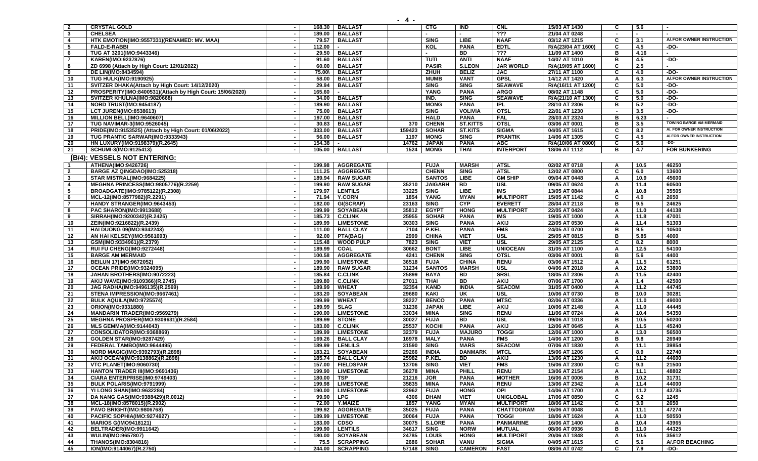| $\overline{2}$ | <b>CRYSTAL GOLD</b>                                                                      |                          | 168.30           | <b>BALLAST</b>                       |                | <b>CTG</b>                   | IND                           | <b>CNL</b>                     | 15/03 AT 1430                  | C                        | 5.6          |                                     |
|----------------|------------------------------------------------------------------------------------------|--------------------------|------------------|--------------------------------------|----------------|------------------------------|-------------------------------|--------------------------------|--------------------------------|--------------------------|--------------|-------------------------------------|
| $\mathbf{3}$   | <b>CHELSEA</b>                                                                           | $\sim$                   | 189.00           | <b>BALLAST</b>                       |                |                              |                               | ???                            | 21/04 AT 0248                  | $\overline{\phantom{a}}$ | $\sim$       |                                     |
| $\overline{4}$ | HTK EMOTION(IMO:9557331)(RENAMED: MV. MAA)                                               | $\sim$                   | 79.57            | <b>BALLAST</b>                       |                | <b>SING</b>                  | <b>LIBE</b>                   | <b>NAAF</b>                    | 03/12 AT 1215                  | C                        | 3.1          | A/.FOR OWNER INSTRUCTION            |
| 5              | <b>FALD-E-RABBI</b>                                                                      | $\sim$                   | 112.00           |                                      |                | KOL                          | <b>PANA</b>                   | <b>EDTL</b>                    | R/A(23/04 AT 1600)             | C                        | 4.5          | -DO-                                |
| 6              | TUG AT 3201(IMO:9443346)                                                                 |                          | 29.50            | <b>BALLAST</b>                       |                |                              | <b>BD</b>                     | ???                            | 11/09 AT 1400                  | в                        | 4.16         |                                     |
| $\overline{7}$ | KAREN(IMO:9237876)                                                                       |                          | 91.60            | <b>BALLAST</b>                       |                | <b>TUTI</b>                  | <b>ANTI</b>                   | <b>NAAF</b>                    | 14/07 AT 1010                  | в                        | 4.5          | -DO-                                |
| 8              | ZD 6998 (Attach by High Court: 12/01/2022)                                               | $\sim$                   | 60.00            | <b>BALLAST</b>                       |                | <b>PASIR</b>                 | <b>S.LEON</b>                 | <b>JAR WORLD</b>               | R/A(19/05 AT 1600)             | C                        | 2.5          |                                     |
| 9              | <b>DE LIN(IMO:8434594)</b>                                                               | $\sim$                   | 75.00\           | <b>BALLAST</b>                       |                | ZHUH                         | <b>BELIZ</b>                  | <b>JAC</b>                     | 27/11 AT 1100                  | C                        | 4.0          | -DO-                                |
| 10             | <b>TUG HULK(IMO:9190925)</b>                                                             | $\sim$                   | 58.00            | <b>BALLAST</b>                       |                | <b>MUMB</b>                  | <b>VANT</b>                   | <b>GPSL</b>                    | 14/12 AT 1420                  | A                        | 6.3          | A/.FOR OWNER INSTRUCTION            |
| 11             | SVITZER DHAKA(Attach by High Court: 14/12/2020)                                          | $\sim$                   | 29.94            | <b>BALLAST</b>                       |                | <b>SING</b>                  | <b>SING</b>                   | <b>SEAWAVE</b>                 | R/A(16/11 AT 1200)             | C                        | 5.0          | -DO-                                |
| 12             | PROSPERITY(IMO:8400531)(Attach by High Court: 15/06/2020)                                | $\sim$                   | 165.60           |                                      |                | <b>YANG</b>                  | <b>PANA</b>                   | <b>ARGO</b>                    | 08/02 AT 1148                  | C                        | 5.0          | -DO-                                |
| 13             | SVITZER KHULNA(IMO:9820668)                                                              |                          | 34.00            | <b>BALLAST</b>                       |                | IND.                         | <b>SING</b>                   | <b>SEAWAVE</b>                 | R/A(21/10 AT 1300)             | C                        | 5.0          | $-DO-$                              |
| 14             | NORD TRUST(IMO:9454187)                                                                  | $\sim$                   | 189.90           | <b>BALLAST</b>                       |                | <b>MONG</b>                  | <b>PANA</b>                   | IPL                            | 28/10 AT 2306                  | в                        | 5.2          | -DO-                                |
| 15             | <b>LCT JUREN(IMO:8538613)</b>                                                            | $\sim$                   | 75.00            | <b>BALLAST</b>                       |                | <b>SING</b>                  | <b>VOLIVIA</b>                | <b>OTSL</b>                    | 22/01 AT 1230                  | $\blacksquare$           | 3.5          | $-DO-$                              |
| 16             | MILLION BELL(IMO:9640607)                                                                | $\sim$                   | 197.00           | <b>BALLAST</b>                       |                | <b>HALD</b>                  | <b>PANA</b>                   | <b>FAL</b>                     | 28/03 AT 2324                  | в                        | 6.23         | ٠<br><b>TOWING BARGE AM MERMAID</b> |
| 17             | TUG NAVIMAR-3(IMO:9526045)                                                               | $\sim$                   | 30.83            | <b>BALLAST</b>                       | 370            | <b>CHENN</b>                 | <b>ST.KITTS</b>               | <b>OTSL</b>                    | 03/06 AT 0001                  | в<br>C                   | 3.5          | A/. FOR OWNER INSTRUCTION           |
| 18<br>19       | PRIDE(IMO:9153525) (Attach by High Court: 01/06/2022)<br>TUG PRANTIC SARWAR(IMO:9333943) | $\sim$<br>$\sim$         | 333.00<br>56.00  | <b>BALLAST</b><br><b>BALLAST</b>     | 159423<br>1197 | <b>SOHAR</b><br><b>MONG</b>  | <b>ST.KITS</b><br><b>SING</b> | <b>SIGMA</b><br><b>PRANTIK</b> | 04/05 AT 1615<br>14/06 AT 1305 | C                        | 8.2<br>4.5   | A/.FOR OWNER INSTRUCTION            |
| 20             | HN LUXURY(IMO:9198379)(R.2645)                                                           |                          | 154.38           |                                      | 14762          | <b>JAPAN</b>                 | <b>PANA</b>                   | <b>ABC</b>                     | R/A(10/06 AT 0800)             | C                        | 5.0          | $-DO-$                              |
| 21             | SCHUMI-3(IMO:9125413)                                                                    | $\sim$                   | 105.00           | <b>BALLAST</b>                       | 1524           | <b>MONG</b>                  | <b>THAI</b>                   | <b>INTERPORT</b>               | 18/06 AT 1112                  | в                        | 4.7          | <b>FOR BUNKERING</b>                |
|                |                                                                                          |                          |                  |                                      |                |                              |                               |                                |                                |                          |              |                                     |
|                | (B/4): VESSELS NOT ENTERING:                                                             |                          |                  |                                      |                |                              |                               |                                |                                |                          |              |                                     |
| -1             | ATHENA(IMO:9426726)                                                                      |                          | 199.98           | <b>AGGREGATE</b>                     |                | <b>FUJA</b>                  | <b>MARSH</b>                  | <b>ATSL</b>                    | 02/02 AT 0718                  | A                        | 10.5         | 46250                               |
| $\overline{2}$ | BARGE AZ QINGDAO(IMO:525318)                                                             | $\overline{\phantom{a}}$ | 111.25           | <b>AGGREGATE</b>                     |                | <b>CHENN</b>                 | <b>SING</b>                   | <b>ATSL</b>                    | 12/02 AT 0800                  | C                        | 6.0          | 13600                               |
| $\mathbf{3}$   | STAR MISTRAL(IMO:9684225)                                                                | $\sim$                   | 189.94           | <b>RAW SUGAR</b>                     |                | <b>SANTOS</b>                | LIBE                          | <b>GM SHIP</b>                 | 09/04 AT 0448                  | A                        | 10.9         | 45600                               |
| 4              | <b>MEGHNA PRINCESS(IMO:9805776)(R.2259)</b>                                              |                          | 199.90           | <b>RAW SUGAR</b>                     | 35210          | <b>JAIGARH</b>               | BD                            | <b>USL</b>                     | 09/05 AT 0624                  | A                        | 11.4         | 60500                               |
| 5              | BROADGATE(IMO:9785122)(R.2308)                                                           | $\sim$                   | 179.97           | <b>LENTILS</b>                       | 33225          | <b>SING</b>                  | <b>LIBE</b>                   | IMS                            | 13/05 AT 0844                  | A                        | 10.8         | 35505                               |
| 6              | MCL-12(IMO:8577982)(R.2291)                                                              |                          | 71.94            | <b>Y.CORN</b>                        | 1854           | <b>YANG</b>                  | <b>MYAN</b>                   | <b>MULTIPORT</b>               | 15/05 AT 1142                  | C                        | 4.0          | 2650                                |
| $\overline{7}$ | <b>HANDY STRANGER(IMO:9643453)</b>                                                       | $\sim$                   | 182.00           | GI(SCRAP)                            | 23163          | <b>SING</b>                  | <b>CYP</b>                    | <b>EVERETT</b>                 | 28/04 AT 2118                  | в                        | 9.5          | 24625                               |
| 8              | PAC SHARON(IMO:9913688)                                                                  | $\sim$                   | 199.99           | <b>SOYABEAN</b>                      | 35812          | <b>EGYPT</b>                 | <b>HONG</b>                   | <b>MULTIPORT</b>               | 22/05 AT 0424                  | A                        | 11.0         | 44138                               |
| 9              | SIRRAH(IMO:9200342)(R.2425)                                                              | $\sim$                   | 185.73           | <b>C.CLINK</b>                       | 25955          | <b>SOHAR</b>                 | <b>PANA</b>                   | IMS                            | 19/05 AT 1000                  | A                        | 11.8         | 47001                               |
| 10             | ZEIN(IMO:9216822)(R.2439)                                                                | $\sim$                   | 189.99           | <b>LIMESTONE</b>                     | 30303          | <b>SING</b>                  | <b>PANA</b>                   | <b>AKIJ</b>                    | 22/05 AT 0530                  | A                        | 11.4         | 51303                               |
| 11             | HAI DUONG 09(IMO:9342243)                                                                |                          | 111.00           | <b>BALL CLAY</b>                     | 7104           | P.KEL                        | <b>PANA</b>                   | <b>FMS</b>                     | 24/05 AT 0700<br>25/05 AT 0815 | B                        | 9.5          | 10500                               |
| 12             | AN HAI KELSEY(IMO:9561693)                                                               | $\sim$                   | 92.00            | PTA(BAG)                             | 2999           | <b>CHINA</b>                 | <b>VIET</b>                   | USL                            |                                | B                        | 5.85         | 4000                                |
| 13             | GSM(IMO:9334961)(R.2379)                                                                 | $\sim$                   | 115.48<br>189.99 | <b>WOOD PULP</b>                     | 7823<br>30662  | <b>SING</b><br><b>BONT</b>   | <b>VIET</b><br><b>LIBE</b>    | <b>USL</b><br><b>UNIOCEAN</b>  | 29/05 AT 2125                  | C                        | 8.2<br>12.5  | 8000<br>54100                       |
| 14             | RUI FU CHENG(IMO:9272448)                                                                | $\overline{\phantom{a}}$ | 100.58           | <b>COAL</b>                          |                |                              | <b>SING</b>                   | <b>OTSL</b>                    | 31/05 AT 1100                  | A<br>в                   | 5.6          | 4400                                |
| 15             | <b>BARGE AM MERMAID</b>                                                                  |                          |                  | <b>AGGREGATE</b>                     | 4241           | <b>CHENN</b>                 |                               |                                | 03/06 AT 0001                  |                          |              |                                     |
| 16<br>17       | BEILUN 17(IMO:9672052)<br>OCEAN PRIDE(IMO:9324095)                                       | $\sim$                   | 199.90<br>189.90 | <b>LIMESTONE</b><br><b>RAW SUGAR</b> | 36518<br>31234 | <b>FUJA</b><br><b>SANTOS</b> | <b>CHINA</b><br><b>MARSH</b>  | <b>RENU</b><br><b>USL</b>      | 03/06 AT 1512<br>04/06 AT 2018 | A<br>A                   | 11.5<br>10.2 | 61251<br>53800                      |
| 18             | JAHAN BROTHERS(IMO:9072223)                                                              |                          | 185.84           | <b>C.CLINK</b>                       | 25899          | <b>BAYA</b>                  | BD                            | <b>SRSL</b>                    | 18/05 AT 2306                  | A                        | 11.5         | 42400                               |
| 19             | AKIJ WAVE(IMO:9109366)(R.2745)                                                           |                          | 189.80           | <b>C.CLINK</b>                       | 27011          | <b>THAI</b>                  | <b>BD</b>                     | <b>AKIJ</b>                    | 07/06 AT 1700                  | A                        | 1.4          | 42500                               |
| 20             | JAG RADHA(IMO:9496135)(R.2569)                                                           |                          | 189.99           | <b>WHEAT</b>                         | 32354          | <b>KAND</b>                  | <b>INDIA</b>                  | <b>SEACOM</b>                  | 31/05 AT 0400                  | A                        | 11.2         | 44745                               |
| 21             | STENA IMPRESSION(IMO:9667461)                                                            |                          | 183.20           | <b>SOYABEAN</b>                      | 29680          | <b>KAKI</b>                  | UK                            | <b>USL</b>                     | 10/06 AT 0730                  | в                        | 10.0         | 30281                               |
| 22             | <b>BULK AQUILA(IMO:9725574)</b>                                                          | $\overline{\phantom{a}}$ | 199.99           | <b>WHEAT</b>                         | 38227          | <b>BENCO</b>                 | <b>PANA</b>                   | <b>MTSC</b>                    | 02/06 AT 0336                  | A                        | 11.0         | 49000                               |
| 23             | ORION(IMO:9331880)                                                                       | $\sim$                   | 189.99           | <b>SLAG</b>                          | 31236          | <b>JAPAN</b>                 | LIBE                          | <b>AKIJ</b>                    | 10/06 AT 2148                  | A                        | 11.0         | 44445                               |
| 24             | <b>MANDARIN TRADER(IMO:9569279)</b>                                                      | $\sim$                   | 190.00           | <b>LIMESTONE</b>                     | 33034          | <b>MINA</b>                  | <b>SING</b>                   | <b>RENU</b>                    | 11/06 AT 0724                  | A                        | 10.4         | 54350                               |
| 25             | MEGHNA PROSPER(IMO:9309631)(R.2584)                                                      |                          | 189.99           | <b>STONE</b>                         | 30027          | <b>FUJA</b>                  | <b>BD</b>                     | <b>USL</b>                     | 09/06 AT 1018                  | в                        | 10.5         | 50200                               |
| 26             | <b>MLS GEMMA(IMO:9144043)</b>                                                            |                          | 183.00           | <b>C.CLINK</b>                       | 25537          | KOCHI                        | <b>PANA</b>                   | <b>AKIJ</b>                    | 12/06 AT 0645                  |                          | 11.5         | 45240                               |
| 27             | CONSOLIDATOR(IMO:9368869)                                                                | $\blacksquare$           | 189.99           | <b>LIMESTONE</b>                     | 32379          | <b>FUJA</b>                  | <b>MAJURO</b>                 | <b>TOGGI</b>                   | 12/06 AT 1000                  | A                        | 13.0         | 56500                               |
| 28             | <b>GOLDEN STAR(IMO:9287429)</b>                                                          | $\sim$                   | 169.26           | <b>BALL CLAY</b>                     | 16978          | <b>MALY</b>                  | <b>PANA</b>                   | <b>FMS</b>                     | 14/06 AT 1200                  | в                        | 9.8          | 26949                               |
| 29             | FEDERAL TAMBO(IMO:9644495)                                                               | $\sim$                   | 189.99           | <b>LENLILS</b>                       | 31590          | <b>SING</b>                  | <b>MARS</b>                   | <b>SEACOM</b>                  | 07/06 AT 1830                  | A                        | 11.1         | 39854                               |
| 30             | NORD MAGIC(IMO:9392793)(R.2898)                                                          | $\sim$                   |                  | 183.21 SOYABEAN                      | 29266          | <b>INDIA</b>                 | <b>DANMARK</b>                | <b>MTCL</b>                    | 15/06 AT 1206                  | C                        | 8.9          | 22740                               |
| 31             | AKIJ OCEAN(IMO:9138862)(R.2898)                                                          | $\sim$                   |                  | 185.74 BALL CLAY                     |                | 25982 P.KEL                  | BD                            | AKIJ                           | 13/06 AT 1230                  | A                        | 11.2         | 44600                               |
| 32             | <b>VTC PLANET(IMO:9060730)</b>                                                           | $\sim$                   |                  | 157.00 FIELDSPAR                     | 13706          | <b>SING</b>                  | <b>VIET</b>                   | <b>FMS</b>                     | 15/06 AT 2300                  | C                        | 9.3          | 21500                               |
| 33             | <b>HANTON TRADER III(IMO:9691436)</b>                                                    | $\blacksquare$           |                  | 199.90   LIMESTONE                   | 36278          | MINA                         | PHILL                         | <b>RENU</b>                    | 13/06 AT 2154                  | A                        | 11.1         | 48802                               |
| 34             | CIARA ENTERPRISE(IM0:9749403)                                                            |                          | 180.00           | <b>TSP</b>                           | 21216          | <b>JOR</b>                   | <b>PANA</b>                   | <b>MOTHER</b>                  | 16/06 AT 0006                  | в                        | 10.2         | 31731                               |
| 35             | BULK POLARIS(IMO:9791999)                                                                | $\sim$                   |                  | 199.98   LIMESTONE                   | 35835          | MINA                         | <b>PANA</b>                   | <b>RENU</b>                    | 13/06 AT 2342                  | A                        | 11.4         | 44000                               |
| 36             | YI LONG SHAN(IMO:9632284)                                                                | $\sim$                   | 190.00           | <b>LIMESTONE</b>                     | 32962          | <b>FUJA</b>                  | <b>HONG</b>                   | OPI                            | 14/06 AT 1700                  | A                        | 11.2         | 43735                               |
| 37             | DA NANG GAS(IMO:9388429)(R.0012)                                                         | $\sim$                   |                  | 99.90   LPG                          | 4306           | <b>DHAM</b>                  | <b>VIET</b>                   | <b>UNIGLOBAL</b>               | 17/06 AT 0850                  | C                        | 6.2          | 1245                                |
| 38             | MCL-18(IMO:8578015)(R.2902)                                                              | $\sim$                   | 72.00            | Y.MAIZE                              | 1857           | YANG                         | <b>MYAN</b>                   | <b>MULTIPORT</b>               | 18/06 AT 1142                  | C                        | 3.9          | 2650                                |
| 39             | <b>PAVO BRIGHT(IMO:9806768)</b>                                                          |                          | 199.92           | <b>AGGREGATE</b>                     | 35025          | <b>FUJA</b>                  | <b>PANA</b>                   | <b>CHATTOGRAM</b>              | 16/06 AT 0048                  | A                        | 11.1         | 47274                               |
| 40             | PACIFIC SOPHIA(IMO:9274927)                                                              | $\blacksquare$           | 189.99           | <b>LIMESTONE</b>                     | 30064          | <b>FUJA</b>                  | <b>PANA</b>                   | <b>TOGGI</b>                   | 18/06 AT 1624                  | A                        | 11.0         | 50550                               |
| 41             | <b>MARIOS G(IMO9418121)</b>                                                              | $\sim$                   | 183.00           | <b>CDSO</b>                          | 30075          | <b>S.LORE</b>                | <b>PANA</b>                   | <b>PANMARINE</b>               | 16/06 AT 1400                  | A                        | 10.4         | 43965                               |
| 42             | BELTRADER(IMO:9911642)                                                                   | $\blacksquare$           |                  | 199.90   LENTILS                     | 34617          | <b>SING</b>                  | <b>NORW</b>                   | <b>MUTUAL</b>                  | 08/06 AT 0936                  | в                        | 11.0         | 44325                               |
| 43             | WULIN(IMO:9657807)                                                                       | $\sim$                   |                  | 180.00 SOYABEAN                      | 24785          | <b>LOUIS</b>                 | <b>HONG</b>                   | <b>MULTIPORT</b>               | 20/06 AT 1848                  | A                        | 10.5         | 35612                               |
| 44             | THANOS(IMO:8304816)                                                                      | $\sim$                   |                  | 75.5 SCRAPPING                       | 2686           | <b>SOHAR</b>                 | <b>VANU</b>                   | <b>SIGMA</b>                   | 04/05 AT 1615                  | C                        | 5.6          | A/.FOR BEACHING                     |
| 45             | ION(IMO:9144067)(R.2750)                                                                 | $\sim$                   |                  | 244.00   SCRAPPING                   | 57148          | <b>SING</b>                  | <b>CAMERON</b>                | <b>FAST</b>                    | 08/06 AT 0742                  | C                        | 7.9          | -DO-                                |